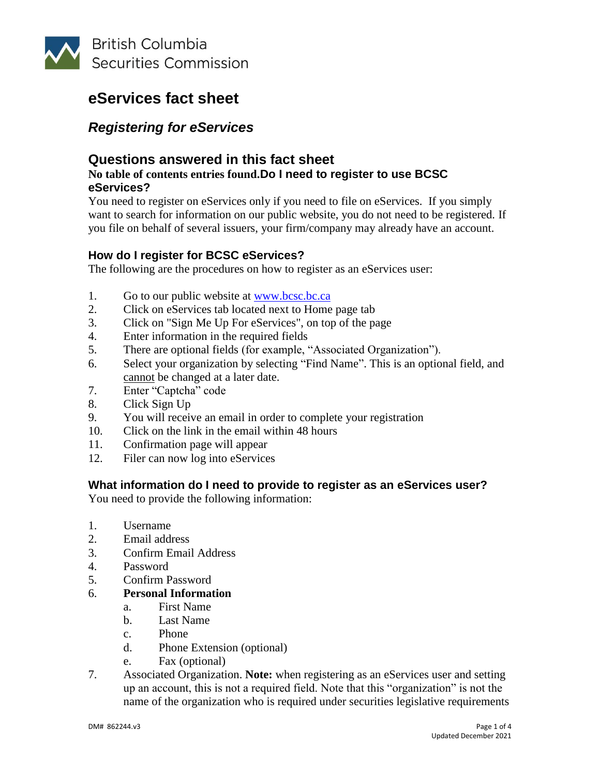

## *Registering for eServices*

### **Questions answered in this fact sheet**

#### **No table of contents entries found.Do I need to register to use BCSC eServices?**

You need to register on eServices only if you need to file on eServices. If you simply want to search for information on our public website, you do not need to be registered. If you file on behalf of several issuers, your firm/company may already have an account.

### **How do I register for BCSC eServices?**

The following are the procedures on how to register as an eServices user:

- 1. Go to our public website at [www.bcsc.bc.ca](http://www.bcsc.bc.ca/)
- 2. Click on eServices tab located next to Home page tab
- 3. Click on "Sign Me Up For eServices", on top of the page
- 4. Enter information in the required fields
- 5. There are optional fields (for example, "Associated Organization").
- 6. Select your organization by selecting "Find Name". This is an optional field, and cannot be changed at a later date.
- 7. Enter "Captcha" code
- 8. Click Sign Up
- 9. You will receive an email in order to complete your registration
- 10. Click on the link in the email within 48 hours
- 11. Confirmation page will appear
- 12. Filer can now log into eServices

### **What information do I need to provide to register as an eServices user?**

You need to provide the following information:

- 1. Username
- 2. Email address
- 3. Confirm Email Address
- 4. Password
- 5. Confirm Password
- 6. **Personal Information**
	- a. First Name
	- b. Last Name
	- c. Phone
	- d. Phone Extension (optional)
	- e. Fax (optional)
- 7. Associated Organization. **Note:** when registering as an eServices user and setting up an account, this is not a required field. Note that this "organization" is not the name of the organization who is required under securities legislative requirements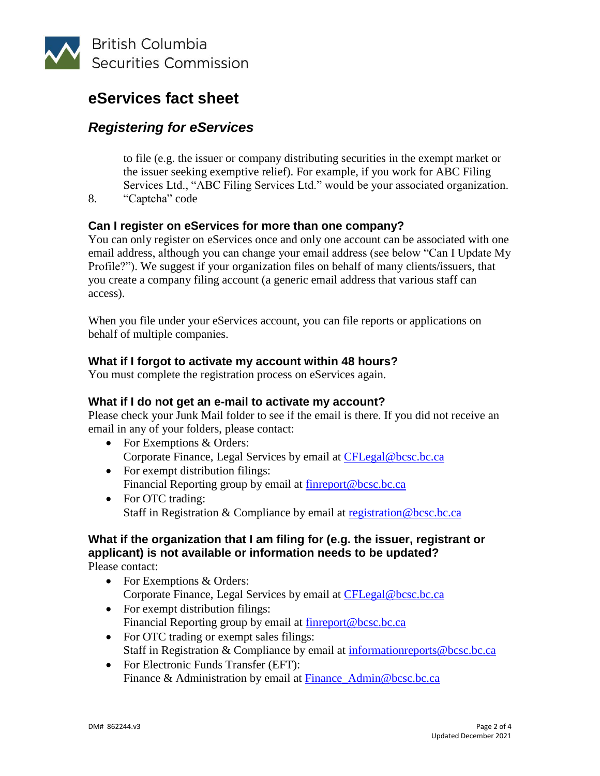

## *Registering for eServices*

to file (e.g. the issuer or company distributing securities in the exempt market or the issuer seeking exemptive relief). For example, if you work for ABC Filing Services Ltd., "ABC Filing Services Ltd." would be your associated organization.

8. "Captcha" code

### **Can I register on eServices for more than one company?**

You can only register on eServices once and only one account can be associated with one email address, although you can change your email address (see below "Can I Update My Profile?"). We suggest if your organization files on behalf of many clients/issuers, that you create a company filing account (a generic email address that various staff can access).

When you file under your eServices account, you can file reports or applications on behalf of multiple companies.

### **What if I forgot to activate my account within 48 hours?**

You must complete the registration process on eServices again.

### **What if I do not get an e-mail to activate my account?**

Please check your Junk Mail folder to see if the email is there. If you did not receive an email in any of your folders, please contact:

- For Exemptions & Orders: Corporate Finance, Legal Services by email at [CFLegal@bcsc.bc.ca](mailto:CFLegal@bcsc.bc.ca)
- For exempt distribution filings: Financial Reporting group by email at **finreport@bcsc.bc.ca**
- For OTC trading: Staff in Registration & Compliance by email at [registration@bcsc.bc.ca](mailto:registration@bcsc.bc.ca)

#### **What if the organization that I am filing for (e.g. the issuer, registrant or applicant) is not available or information needs to be updated?** Please contact:

- For Exemptions & Orders: Corporate Finance, Legal Services by email at [CFLegal@bcsc.bc.ca](mailto:CFLegal@bcsc.bc.ca)
- For exempt distribution filings: Financial Reporting group by email at [finreport@bcsc.bc.ca](mailto:finreport@bcsc.bc.ca)
- For OTC trading or exempt sales filings: Staff in Registration & Compliance by email at [informationreports@bcsc.bc.ca](mailto:informationreports@bcsc.bc.ca)
- For Electronic Funds Transfer (EFT): Finance & Administration by email at [Finance\\_Admin@bcsc.bc.ca](mailto:Finance_Admin@bcsc.bc.ca)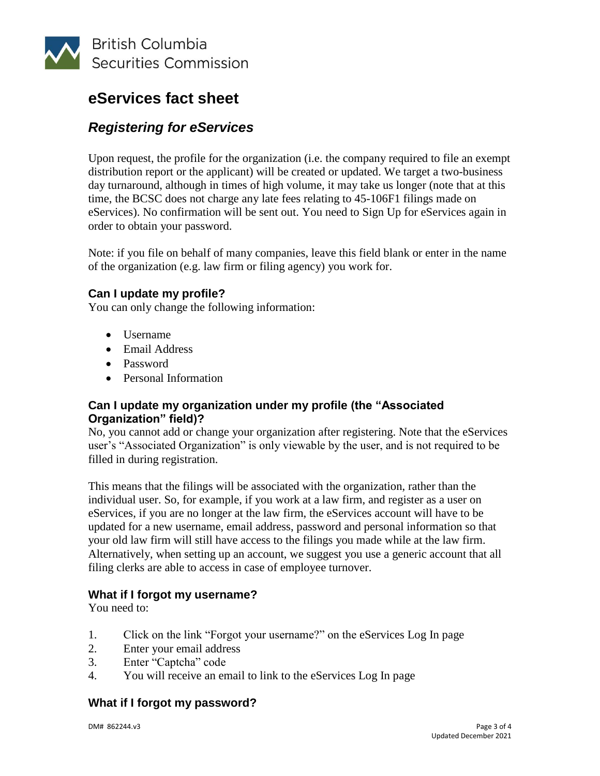

## *Registering for eServices*

Upon request, the profile for the organization (i.e. the company required to file an exempt distribution report or the applicant) will be created or updated. We target a two-business day turnaround, although in times of high volume, it may take us longer (note that at this time, the BCSC does not charge any late fees relating to 45-106F1 filings made on eServices). No confirmation will be sent out. You need to Sign Up for eServices again in order to obtain your password.

Note: if you file on behalf of many companies, leave this field blank or enter in the name of the organization (e.g. law firm or filing agency) you work for.

### **Can I update my profile?**

You can only change the following information:

- Username
- Email Address
- Password
- Personal Information

### **Can I update my organization under my profile (the "Associated Organization" field)?**

No, you cannot add or change your organization after registering. Note that the eServices user's "Associated Organization" is only viewable by the user, and is not required to be filled in during registration.

This means that the filings will be associated with the organization, rather than the individual user. So, for example, if you work at a law firm, and register as a user on eServices, if you are no longer at the law firm, the eServices account will have to be updated for a new username, email address, password and personal information so that your old law firm will still have access to the filings you made while at the law firm. Alternatively, when setting up an account, we suggest you use a generic account that all filing clerks are able to access in case of employee turnover.

### **What if I forgot my username?**

You need to:

- 1. Click on the link "Forgot your username?" on the eServices Log In page
- 2. Enter your email address
- 3. Enter "Captcha" code
- 4. You will receive an email to link to the eServices Log In page

### **What if I forgot my password?**